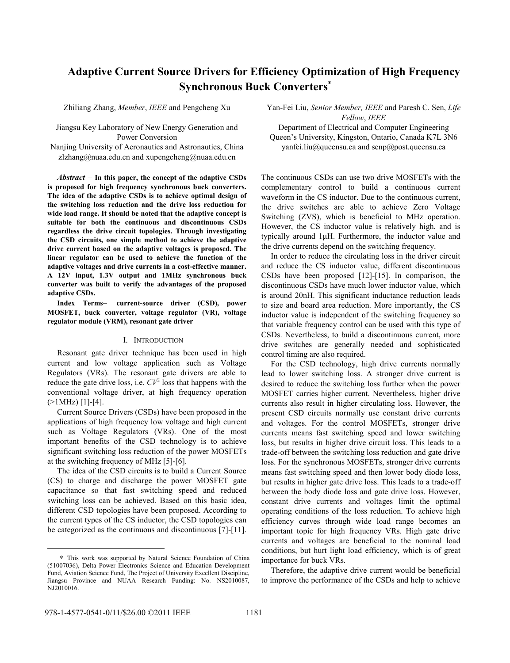# **Adaptive Current Source Drivers for Efficiency Optimization of High Frequency Synchronous Buck Converters**<sup>∗</sup>

Zhiliang Zhang, *Member*, *IEEE* and Pengcheng Xu

Jiangsu Key Laboratory of New Energy Generation and Power Conversion

Nanjing University of Aeronautics and Astronautics, China zlzhang@nuaa.edu.cn and xupengcheng@nuaa.edu.cn

*Abstract* – **In this paper, the concept of the adaptive CSDs is proposed for high frequency synchronous buck converters. The idea of the adaptive CSDs is to achieve optimal design of the switching loss reduction and the drive loss reduction for wide load range. It should be noted that the adaptive concept is suitable for both the continuous and discontinuous CSDs regardless the drive circuit topologies. Through investigating the CSD circuits, one simple method to achieve the adaptive drive current based on the adaptive voltages is proposed. The linear regulator can be used to achieve the function of the adaptive voltages and drive currents in a cost-effective manner. A 12V input, 1.3V output and 1MHz synchronous buck converter was built to verify the advantages of the proposed adaptive CSDs.** 

**Index Terms**– **current-source driver (CSD), power MOSFET, buck converter, voltage regulator (VR), voltage regulator module (VRM), resonant gate driver** 

#### I. INTRODUCTION

Resonant gate driver technique has been used in high current and low voltage application such as Voltage Regulators (VRs). The resonant gate drivers are able to reduce the gate drive loss, i.e.  $CV<sup>2</sup>$  loss that happens with the conventional voltage driver, at high frequency operation  $(>1MHz)$  [1]-[4].

Current Source Drivers (CSDs) have been proposed in the applications of high frequency low voltage and high current such as Voltage Regulators (VRs). One of the most important benefits of the CSD technology is to achieve significant switching loss reduction of the power MOSFETs at the switching frequency of MHz [5]-[6].

The idea of the CSD circuits is to build a Current Source (CS) to charge and discharge the power MOSFET gate capacitance so that fast switching speed and reduced switching loss can be achieved. Based on this basic idea, different CSD topologies have been proposed. According to the current types of the CS inductor, the CSD topologies can be categorized as the continuous and discontinuous [7]-[11]. Yan-Fei Liu, *Senior Member, IEEE* and Paresh C. Sen, *Life Fellow*, *IEEE*

Department of Electrical and Computer Engineering Queen's University, Kingston, Ontario, Canada K7L 3N6 yanfei.liu@queensu.ca and senp@post.queensu.ca

The continuous CSDs can use two drive MOSFETs with the complementary control to build a continuous current waveform in the CS inductor. Due to the continuous current, the drive switches are able to achieve Zero Voltage Switching (ZVS), which is beneficial to MHz operation. However, the CS inductor value is relatively high, and is typically around 1μH. Furthermore, the inductor value and the drive currents depend on the switching frequency.

In order to reduce the circulating loss in the driver circuit and reduce the CS inductor value, different discontinuous CSDs have been proposed [12]-[15]. In comparison, the discontinuous CSDs have much lower inductor value, which is around 20nH. This significant inductance reduction leads to size and board area reduction. More importantly, the CS inductor value is independent of the switching frequency so that variable frequency control can be used with this type of CSDs. Nevertheless, to build a discontinuous current, more drive switches are generally needed and sophisticated control timing are also required.

For the CSD technology, high drive currents normally lead to lower switching loss. A stronger drive current is desired to reduce the switching loss further when the power MOSFET carries higher current. Nevertheless, higher drive currents also result in higher circulating loss. However, the present CSD circuits normally use constant drive currents and voltages. For the control MOSFETs, stronger drive currents means fast switching speed and lower switching loss, but results in higher drive circuit loss. This leads to a trade-off between the switching loss reduction and gate drive loss. For the synchronous MOSFETs, stronger drive currents means fast switching speed and then lower body diode loss, but results in higher gate drive loss. This leads to a trade-off between the body diode loss and gate drive loss. However, constant drive currents and voltages limit the optimal operating conditions of the loss reduction. To achieve high efficiency curves through wide load range becomes an important topic for high frequency VRs. High gate drive currents and voltages are beneficial to the nominal load conditions, but hurt light load efficiency, which is of great importance for buck VRs.

Therefore, the adaptive drive current would be beneficial to improve the performance of the CSDs and help to achieve

l

<sup>∗</sup> This work was supported by Natural Science Foundation of China (51007036), Delta Power Electronics Science and Education Development Fund, Aviation Science Fund, The Project of University Excellent Discipline, Jiangsu Province and NUAA Research Funding: No. NS2010087, NJ2010016.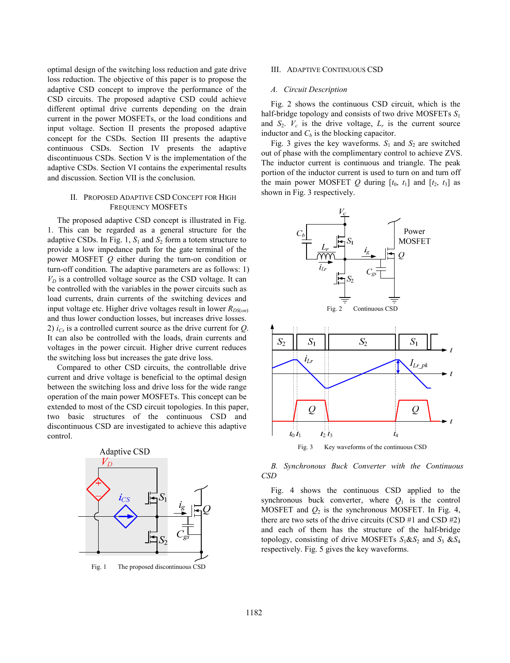optimal design of the switching loss reduction and gate drive loss reduction. The objective of this paper is to propose the adaptive CSD concept to improve the performance of the CSD circuits. The proposed adaptive CSD could achieve different optimal drive currents depending on the drain current in the power MOSFETs, or the load conditions and input voltage. Section II presents the proposed adaptive concept for the CSDs. Section III presents the adaptive continuous CSDs. Section IV presents the adaptive discontinuous CSDs. Section V is the implementation of the adaptive CSDs. Section VI contains the experimental results and discussion. Section VII is the conclusion.

# II. PROPOSED ADAPTIVE CSD CONCEPT FOR HIGH FREQUENCY MOSFETS

The proposed adaptive CSD concept is illustrated in Fig. 1. This can be regarded as a general structure for the adaptive CSDs. In Fig. 1,  $S_1$  and  $S_2$  form a totem structure to provide a low impedance path for the gate terminal of the power MOSFET *Q* either during the turn-on condition or turn-off condition. The adaptive parameters are as follows: 1)  $V<sub>D</sub>$  is a controlled voltage source as the CSD voltage. It can be controlled with the variables in the power circuits such as load currents, drain currents of the switching devices and input voltage etc. Higher drive voltages result in lower  $R_{DS(0n)}$ and thus lower conduction losses, but increases drive losses. 2) *iCs* is a controlled current source as the drive current for *Q*. It can also be controlled with the loads, drain currents and voltages in the power circuit. Higher drive current reduces the switching loss but increases the gate drive loss.

Compared to other CSD circuits, the controllable drive current and drive voltage is beneficial to the optimal design between the switching loss and drive loss for the wide range operation of the main power MOSFETs. This concept can be extended to most of the CSD circuit topologies. In this paper, two basic structures of the continuous CSD and discontinuous CSD are investigated to achieve this adaptive control.



Fig. 1 The proposed discontinuous CSD

## III. ADAPTIVE CONTINUOUS CSD

## *A. Circuit Description*

Fig. 2 shows the continuous CSD circuit, which is the half-bridge topology and consists of two drive MOSFETs *S*<sup>1</sup> and  $S_2$ .  $V_c$  is the drive voltage,  $L_r$  is the current source inductor and  $C_b$  is the blocking capacitor.

Fig. 3 gives the key waveforms.  $S_1$  and  $S_2$  are switched out of phase with the complimentary control to achieve ZVS. The inductor current is continuous and triangle. The peak portion of the inductor current is used to turn on and turn off the main power MOSFET  $Q$  during  $[t_0, t_1]$  and  $[t_2, t_3]$  as shown in Fig. 3 respectively.





Fig. 4 shows the continuous CSD applied to the synchronous buck converter, where  $Q_1$  is the control MOSFET and  $Q_2$  is the synchronous MOSFET. In Fig. 4, there are two sets of the drive circuits (CSD  $#1$  and CSD  $#2$ ) and each of them has the structure of the half-bridge topology, consisting of drive MOSFETs  $S_1 \& S_2$  and  $S_3 \& S_4$ respectively. Fig. 5 gives the key waveforms.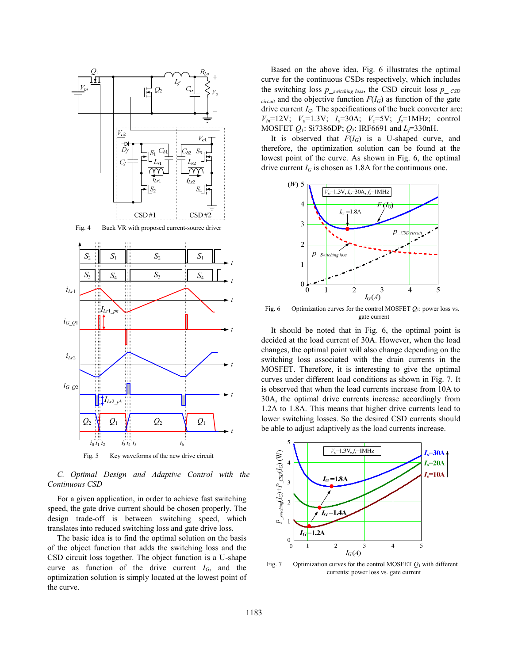

*C. Optimal Design and Adaptive Control with the Continuous CSD* 

For a given application, in order to achieve fast switching speed, the gate drive current should be chosen properly. The design trade-off is between switching speed, which translates into reduced switching loss and gate drive loss.

The basic idea is to find the optimal solution on the basis of the object function that adds the switching loss and the CSD circuit loss together. The object function is a U-shape curve as function of the drive current  $I_G$ , and the optimization solution is simply located at the lowest point of the curve.

Based on the above idea, Fig. 6 illustrates the optimal curve for the continuous CSDs respectively, which includes the switching loss  $p_{\text{ }-swtiching\ loss}$ , the CSD circuit loss  $p_{\text{ }-CSD}$  $circuit$  and the objective function  $F(I_G)$  as function of the gate drive current *IG*. The specifications of the buck converter are:  $V_{in}$ =12V;  $V_o$ =1.3V;  $I_o$ =30A;  $V_c$ =5V;  $f_s$ =1MHz; control MOSFET *Q*1: Si7386DP; *Q*2: IRF6691 and *Lf*=330nH.

It is observed that  $F(I_G)$  is a U-shaped curve, and therefore, the optimization solution can be found at the lowest point of the curve. As shown in Fig. 6, the optimal drive current  $I_G$  is chosen as 1.8A for the continuous one.



Fig. 6 Optimization curves for the control MOSFET  $Q_1$ : power loss vs. gate current

It should be noted that in Fig. 6, the optimal point is decided at the load current of 30A. However, when the load changes, the optimal point will also change depending on the switching loss associated with the drain currents in the MOSFET. Therefore, it is interesting to give the optimal curves under different load conditions as shown in Fig. 7. It is observed that when the load currents increase from 10A to 30A, the optimal drive currents increase accordingly from 1.2A to 1.8A. This means that higher drive currents lead to lower switching losses. So the desired CSD currents should be able to adjust adaptively as the load currents increase.



Fig. 7 Optimization curves for the control MOSFET  $Q_1$  with different currents: power loss vs. gate current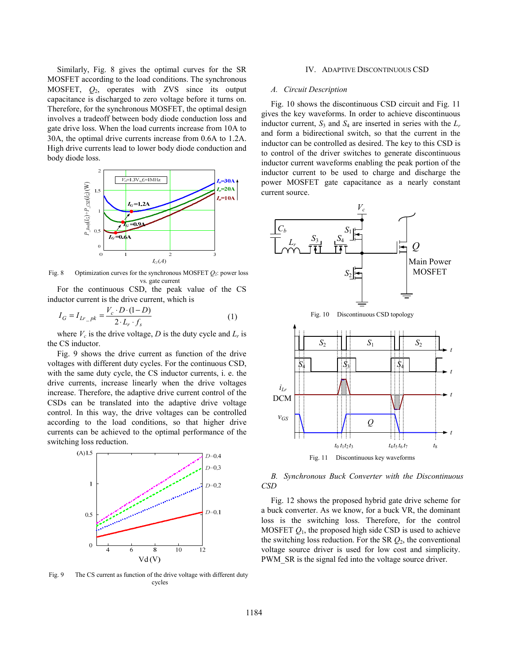Similarly, Fig. 8 gives the optimal curves for the SR MOSFET according to the load conditions. The synchronous MOSFET, *Q*2, operates with ZVS since its output capacitance is discharged to zero voltage before it turns on. Therefore, for the synchronous MOSFET, the optimal design involves a tradeoff between body diode conduction loss and gate drive loss. When the load currents increase from 10A to 30A, the optimal drive currents increase from 0.6A to 1.2A. High drive currents lead to lower body diode conduction and body diode loss.



Fig. 8 Optimization curves for the synchronous MOSFET *Q*2: power loss vs. gate current

For the continuous CSD, the peak value of the CS inductor current is the drive current, which is

$$
I_G = I_{Lr\_pk} = \frac{V_c \cdot D \cdot (1 - D)}{2 \cdot L_r \cdot f_s} \tag{1}
$$

where  $V_c$  is the drive voltage,  $D$  is the duty cycle and  $L_r$  is the CS inductor.

Fig. 9 shows the drive current as function of the drive voltages with different duty cycles. For the continuous CSD, with the same duty cycle, the CS inductor currents, i. e. the drive currents, increase linearly when the drive voltages increase. Therefore, the adaptive drive current control of the CSDs can be translated into the adaptive drive voltage control. In this way, the drive voltages can be controlled according to the load conditions, so that higher drive currents can be achieved to the optimal performance of the switching loss reduction.



Fig. 9 The CS current as function of the drive voltage with different duty cycles

## IV. ADAPTIVE DISCONTINUOUS CSD

## *A. Circuit Description*

Fig. 10 shows the discontinuous CSD circuit and Fig. 11 gives the key waveforms. In order to achieve discontinuous inductor current,  $S_3$  and  $S_4$  are inserted in series with the  $L_r$ and form a bidirectional switch, so that the current in the inductor can be controlled as desired. The key to this CSD is to control of the driver switches to generate discontinuous inductor current waveforms enabling the peak portion of the inductor current to be used to charge and discharge the power MOSFET gate capacitance as a nearly constant current source.



*B. Synchronous Buck Converter with the Discontinuous CSD* 

Fig. 12 shows the proposed hybrid gate drive scheme for a buck converter. As we know, for a buck VR, the dominant loss is the switching loss. Therefore, for the control MOSFET  $Q_1$ , the proposed high side CSD is used to achieve the switching loss reduction. For the SR *Q*2, the conventional voltage source driver is used for low cost and simplicity. PWM SR is the signal fed into the voltage source driver.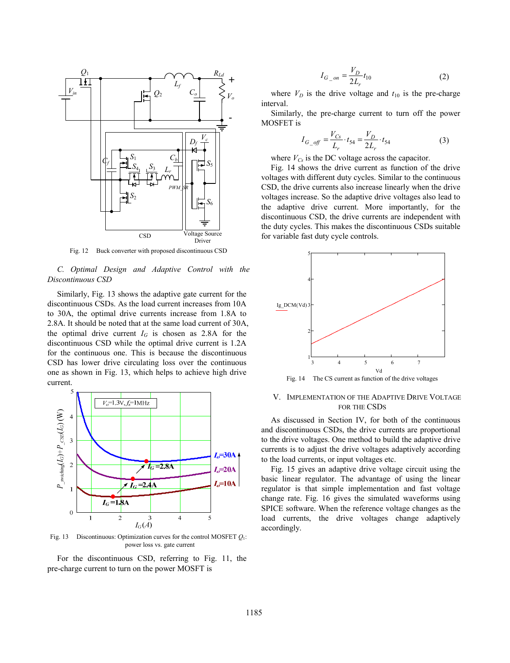

Fig. 12 Buck converter with proposed discontinuous CSD

# *C. Optimal Design and Adaptive Control with the Discontinuous CSD*

Similarly, Fig. 13 shows the adaptive gate current for the discontinuous CSDs. As the load current increases from 10A to 30A, the optimal drive currents increase from 1.8A to 2.8A. It should be noted that at the same load current of 30A, the optimal drive current  $I_G$  is chosen as 2.8A for the discontinuous CSD while the optimal drive current is 1.2A for the continuous one. This is because the discontinuous CSD has lower drive circulating loss over the continuous one as shown in Fig. 13, which helps to achieve high drive current.



Fig. 13 Discontinuous: Optimization curves for the control MOSFET *Q*1: power loss vs. gate current

For the discontinuous CSD, referring to Fig. 11, the pre-charge current to turn on the power MOSFT is

$$
I_{G_{-}on} = \frac{V_D}{2L_r} t_{10}
$$
 (2)

where  $V_D$  is the drive voltage and  $t_{10}$  is the pre-charge interval.

Similarly, the pre-charge current to turn off the power MOSFET is

$$
I_{G\_off} = \frac{V_{Cs}}{L_r} \cdot t_{54} = \frac{V_D}{2L_r} \cdot t_{54}
$$
 (3)

where  $V_{Cs}$  is the DC voltage across the capacitor.

Fig. 14 shows the drive current as function of the drive voltages with different duty cycles. Similar to the continuous CSD, the drive currents also increase linearly when the drive voltages increase. So the adaptive drive voltages also lead to the adaptive drive current. More importantly, for the discontinuous CSD, the drive currents are independent with the duty cycles. This makes the discontinuous CSDs suitable for variable fast duty cycle controls.



Fig. 14 The CS current as function of the drive voltages

# V. IMPLEMENTATION OF THE ADAPTIVE DRIVE VOLTAGE FOR THE CSDS

As discussed in Section IV, for both of the continuous and discontinuous CSDs, the drive currents are proportional to the drive voltages. One method to build the adaptive drive currents is to adjust the drive voltages adaptively according to the load currents, or input voltages etc.

Fig. 15 gives an adaptive drive voltage circuit using the basic linear regulator. The advantage of using the linear regulator is that simple implementation and fast voltage change rate. Fig. 16 gives the simulated waveforms using SPICE software. When the reference voltage changes as the load currents, the drive voltages change adaptively accordingly.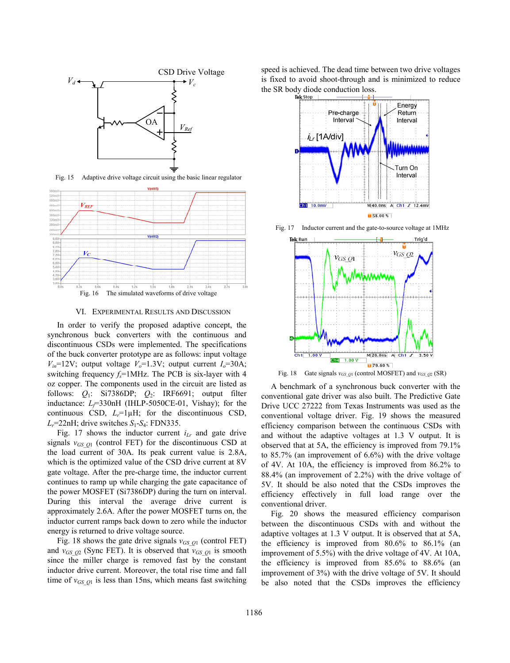

Fig. 15 Adaptive drive voltage circuit using the basic linear regulator



#### VI. EXPERIMENTAL RESULTS AND DISCUSSION

In order to verify the proposed adaptive concept, the synchronous buck converters with the continuous and discontinuous CSDs were implemented. The specifications of the buck converter prototype are as follows: input voltage  $V_{in}$ =12V; output voltage  $V_o$ =1.3V; output current  $I_o$ =30A; switching frequency  $f_s$ =1MHz. The PCB is six-layer with 4 oz copper. The components used in the circuit are listed as follows: *Q*1: Si7386DP; *Q*2: IRF6691; output filter inductance: *L*<sub> $\bar{f}$ </sub>=330nH (IHLP-5050CE-01, Vishay); for the continuous CSD,  $L_r = 1 \mu H$ ; for the discontinuous CSD,  $L_r$ =22nH; drive switches  $S_1$ - $S_4$ : FDN335.

Fig. 17 shows the inductor current  $i_{Lr}$  and gate drive signals  $v_{GSQ1}$  (control FET) for the discontinuous CSD at the load current of 30A. Its peak current value is 2.8A, which is the optimized value of the CSD drive current at 8V gate voltage. After the pre-charge time, the inductor current continues to ramp up while charging the gate capacitance of the power MOSFET (Si7386DP) during the turn on interval. During this interval the average drive current is approximately 2.6A. After the power MOSFET turns on, the inductor current ramps back down to zero while the inductor energy is returned to drive voltage source.

Fig. 18 shows the gate drive signals  $v_{GS_2Q1}$  (control FET) and  $v_{GSO2}$  (Sync FET). It is observed that  $v_{GSO1}$  is smooth since the miller charge is removed fast by the constant inductor drive current. Moreover, the total rise time and fall time of  $v_{GS_Q1}$  is less than 15ns, which means fast switching speed is achieved. The dead time between two drive voltages is fixed to avoid shoot-through and is minimized to reduce the SR body diode conduction loss.





Fig. 17 Inductor current and the gate-to-source voltage at 1MHz

Fig. 18 Gate signals  $v_{GSQ1}$  (control MOSFET) and  $v_{GSQ2}$  (SR)

A benchmark of a synchronous buck converter with the conventional gate driver was also built. The Predictive Gate Drive UCC 27222 from Texas Instruments was used as the conventional voltage driver. Fig. 19 shows the measured efficiency comparison between the continuous CSDs with and without the adaptive voltages at 1.3 V output. It is observed that at 5A, the efficiency is improved from 79.1% to 85.7% (an improvement of 6.6%) with the drive voltage of 4V. At 10A, the efficiency is improved from 86.2% to 88.4% (an improvement of 2.2%) with the drive voltage of 5V. It should be also noted that the CSDs improves the efficiency effectively in full load range over the conventional driver.

Fig. 20 shows the measured efficiency comparison between the discontinuous CSDs with and without the adaptive voltages at 1.3 V output. It is observed that at 5A, the efficiency is improved from 80.6% to 86.1% (an improvement of 5.5%) with the drive voltage of 4V. At 10A, the efficiency is improved from 85.6% to 88.6% (an improvement of 3%) with the drive voltage of 5V. It should be also noted that the CSDs improves the efficiency